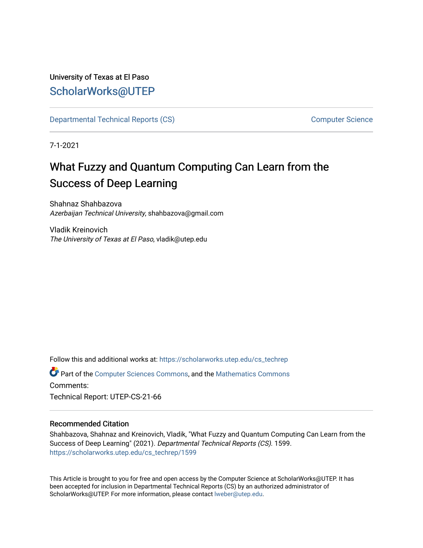# University of Texas at El Paso [ScholarWorks@UTEP](https://scholarworks.utep.edu/)

[Departmental Technical Reports \(CS\)](https://scholarworks.utep.edu/cs_techrep) [Computer Science](https://scholarworks.utep.edu/computer) 

7-1-2021

# What Fuzzy and Quantum Computing Can Learn from the Success of Deep Learning

Shahnaz Shahbazova Azerbaijan Technical University, shahbazova@gmail.com

Vladik Kreinovich The University of Texas at El Paso, vladik@utep.edu

Follow this and additional works at: [https://scholarworks.utep.edu/cs\\_techrep](https://scholarworks.utep.edu/cs_techrep?utm_source=scholarworks.utep.edu%2Fcs_techrep%2F1599&utm_medium=PDF&utm_campaign=PDFCoverPages) 

Part of the [Computer Sciences Commons](http://network.bepress.com/hgg/discipline/142?utm_source=scholarworks.utep.edu%2Fcs_techrep%2F1599&utm_medium=PDF&utm_campaign=PDFCoverPages), and the [Mathematics Commons](http://network.bepress.com/hgg/discipline/174?utm_source=scholarworks.utep.edu%2Fcs_techrep%2F1599&utm_medium=PDF&utm_campaign=PDFCoverPages)  Comments:

Technical Report: UTEP-CS-21-66

#### Recommended Citation

Shahbazova, Shahnaz and Kreinovich, Vladik, "What Fuzzy and Quantum Computing Can Learn from the Success of Deep Learning" (2021). Departmental Technical Reports (CS). 1599. [https://scholarworks.utep.edu/cs\\_techrep/1599](https://scholarworks.utep.edu/cs_techrep/1599?utm_source=scholarworks.utep.edu%2Fcs_techrep%2F1599&utm_medium=PDF&utm_campaign=PDFCoverPages) 

This Article is brought to you for free and open access by the Computer Science at ScholarWorks@UTEP. It has been accepted for inclusion in Departmental Technical Reports (CS) by an authorized administrator of ScholarWorks@UTEP. For more information, please contact [lweber@utep.edu](mailto:lweber@utep.edu).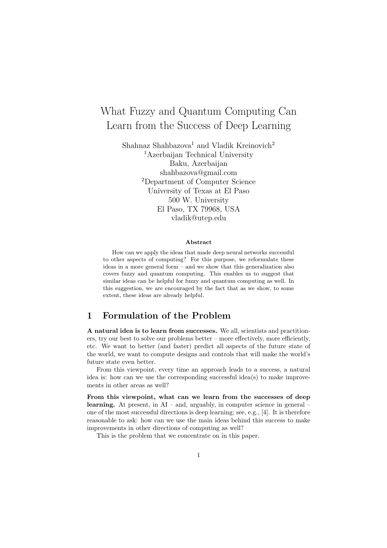# What Fuzzy and Quantum Computing Can Learn from the Success of Deep Learning

Shahnaz Shahbazova<sup>1</sup> and Vladik Kreinovich<sup>2</sup> <sup>1</sup>Azerbaijan Technical University Baku, Azerbaijan shahbazova@gmail.com <sup>2</sup>Department of Computer Science University of Texas at El Paso 500 W. University El Paso, TX 79968, USA vladik@utep.edu

#### Abstract

How can we apply the ideas that made deep neural networks successful to other aspects of computing? For this purpose, we reformulate these ideas in a more general form – and we show that this generalization also covers fuzzy and quantum computing. This enables us to suggest that similar ideas can be helpful for fuzzy and quantum computing as well. In this suggestion, we are encouraged by the fact that as we show, to some extent, these ideas are already helpful.

### 1 Formulation of the Problem

A natural idea is to learn from successes. We all, scientists and practitioners, try our best to solve our problems better – more effectively, more efficiently, etc. We want to better (and faster) predict all aspects of the future state of the world, we want to compute designs and controls that will make the world's future state even better.

From this viewpoint, every time an approach leads to a success, a natural idea is: how can we use the corresponding successful idea(s) to make improvements in other areas as well?

From this viewpoint, what can we learn from the successes of deep learning. At present, in AI – and, arguably, in computer science in general – one of the most successful directions is deep learning; see, e.g., [4]. It is therefore reasonable to ask: how can we use the main ideas behind this success to make improvements in other directions of computing as well?

This is the problem that we concentrate on in this paper.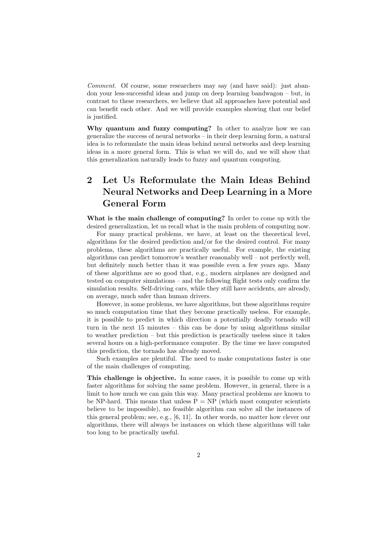Comment. Of course, some researchers may say (and have said): just abandon your less-successful ideas and jump on deep learning bandwagon – but, in contrast to these researchers, we believe that all approaches have potential and can benefit each other. And we will provide examples showing that our belief is justified.

Why quantum and fuzzy computing? In other to analyze how we can generalize the success of neural networks – in their deep learning form, a natural idea is to reformulate the main ideas behind neural networks and deep learning ideas in a more general form. This is what we will do, and we will show that this generalization naturally leads to fuzzy and quantum computing.

## 2 Let Us Reformulate the Main Ideas Behind Neural Networks and Deep Learning in a More General Form

What is the main challenge of computing? In order to come up with the desired generalization, let us recall what is the main problem of computing now.

For many practical problems, we have, at least on the theoretical level, algorithms for the desired prediction and/or for the desired control. For many problems, these algorithms are practically useful. For example, the existing algorithms can predict tomorrow's weather reasonably well – not perfectly well, but definitely much better than it was possible even a few years ago. Many of these algorithms are so good that, e.g., modern airplanes are designed and tested on computer simulations – and the following flight tests only confirm the simulation results. Self-driving cars, while they still have accidents, are already, on average, much safer than human drivers.

However, in some problems, we have algorithms, but these algorithms require so much computation time that they become practically useless. For example, it is possible to predict in which direction a potentially deadly tornado will turn in the next 15 minutes – this can be done by using algorithms similar to weather prediction – but this prediction is practically useless since it takes several hours on a high-performance computer. By the time we have computed this prediction, the tornado has already moved.

Such examples are plentiful. The need to make computations faster is one of the main challenges of computing.

This challenge is objective. In some cases, it is possible to come up with faster algorithms for solving the same problem. However, in general, there is a limit to how much we can gain this way. Many practical problems are known to be NP-hard. This means that unless  $P = NP$  (which most computer scientists believe to be impossible), no feasible algorithm can solve all the instances of this general problem; see, e.g., [6, 11]. In other words, no matter how clever our algorithms, there will always be instances on which these algorithms will take too long to be practically useful.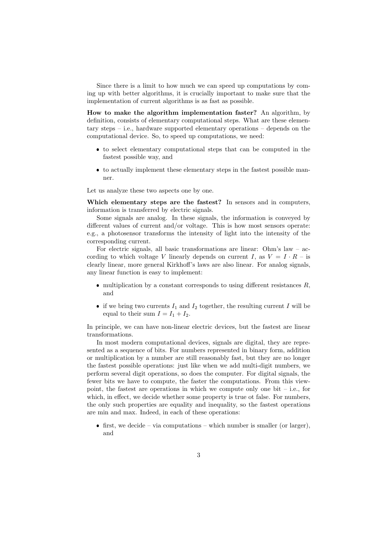Since there is a limit to how much we can speed up computations by coming up with better algorithms, it is crucially important to make sure that the implementation of current algorithms is as fast as possible.

How to make the algorithm implementation faster? An algorithm, by definition, consists of elementary computational steps. What are these elementary steps – i.e., hardware supported elementary operations – depends on the computational device. So, to speed up computations, we need:

- to select elementary computational steps that can be computed in the fastest possible way, and
- to actually implement these elementary steps in the fastest possible manner.

Let us analyze these two aspects one by one.

Which elementary steps are the fastest? In sensors and in computers, information is transferred by electric signals.

Some signals are analog. In these signals, the information is conveyed by different values of current and/or voltage. This is how most sensors operate: e.g., a photosensor transforms the intensity of light into the intensity of the corresponding current.

For electric signals, all basic transformations are linear: Ohm's law – according to which voltage V linearly depends on current I, as  $V = I \cdot R$  – is clearly linear, more general Kirkhoff's laws are also linear. For analog signals, any linear function is easy to implement:

- $\bullet$  multiplication by a constant corresponds to using different resistances  $R$ , and
- if we bring two currents  $I_1$  and  $I_2$  together, the resulting current I will be equal to their sum  $I = I_1 + I_2$ .

In principle, we can have non-linear electric devices, but the fastest are linear transformations.

In most modern computational devices, signals are digital, they are represented as a sequence of bits. For numbers represented in binary form, addition or multiplication by a number are still reasonably fast, but they are no longer the fastest possible operations: just like when we add multi-digit numbers, we perform several digit operations, so does the computer. For digital signals, the fewer bits we have to compute, the faster the computations. From this viewpoint, the fastest are operations in which we compute only one bit  $-$  i.e., for which, in effect, we decide whether some property is true ot false. For numbers, the only such properties are equality and inequality, so the fastest operations are min and max. Indeed, in each of these operations:

 $\bullet$  first, we decide – via computations – which number is smaller (or larger), and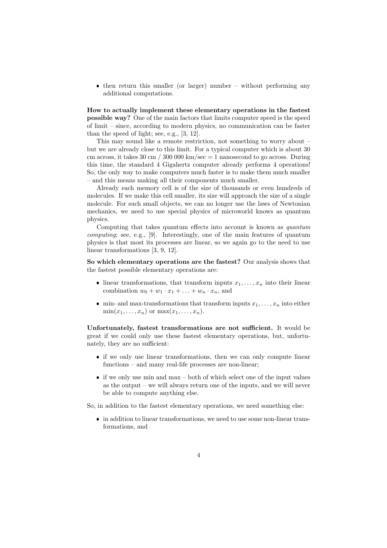• then return this smaller (or larger) number – without performing any additional computations.

How to actually implement these elementary operations in the fastest possible way? One of the main factors that limits computer speed is the speed of limit – since, according to modern physics, no communication can be faster than the speed of light; see, e.g., [3, 12].

This may sound like a remote restriction, not something to worry about – but we are already close to this limit. For a typical computer which is about 30 cm across, it takes 30 cm / 300 000 km/sec  $=$  1 nanosecond to go across. During this time, the standard 4 Gigahertz computer already performs 4 operations! So, the only way to make computers much faster is to make them much smaller – and this means making all their components much smaller.

Already each memory cell is of the size of thousands or even hundreds of molecules. If we make this cell smaller, its size will approach the size of a single molecule. For such small objects, we can no longer use the laws of Newtonian mechanics, we need to use special physics of microworld knows as quantum physics.

Computing that takes quantum effects into account is known as quantum computing; see, e.g., [9]. Interestingly, one of the main features of quantum physics is that most its processes are linear, so we again go to the need to use linear transformations [3, 9, 12].

So which elementary operations are the fastest? Our analysis shows that the fastest possible elementary operations are:

- linear transformations, that transform inputs  $x_1, \ldots, x_n$  into their linear combination  $w_0 + w_1 \cdot x_1 + \ldots + w_n \cdot x_n$ , and
- $\bullet$  min- and max-transformations that transform inputs  $x_1, \ldots, x_n$  into either  $\min(x_1,\ldots,x_n)$  or  $\max(x_1,\ldots,x_n)$ .

Unfortunately, fastest transformations are not sufficient. It would be great if we could only use these fastest elementary operations, but, unfortunately, they are no sufficient:

- if we only use linear transformations, then we can only compute linear functions – and many real-life processes are non-linear;
- $\bullet$  if we only use min and max both of which select one of the input values as the output – we will always return one of the inputs, and we will never be able to compute anything else.

So, in addition to the fastest elementary operations, we need something else:

 in addition to linear transformations, we need to use some non-linear transformations, and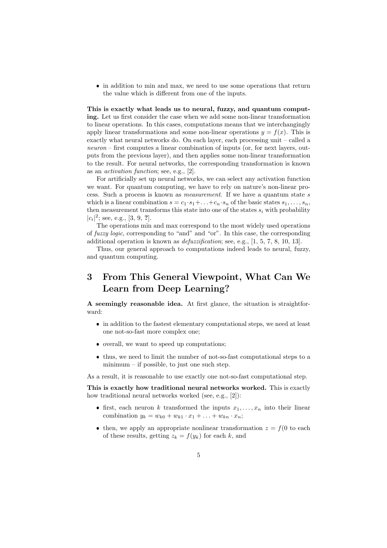in addition to min and max, we need to use some operations that return the value which is different from one of the inputs.

This is exactly what leads us to neural, fuzzy, and quantum computing. Let us first consider the case when we add some non-linear transformation to linear operations. In this cases, computations means that we interchangingly apply linear transformations and some non-linear operations  $y = f(x)$ . This is exactly what neural networks do. On each layer, each processing unit – called a  $neuron - first$  computes a linear combination of inputs (or, for next layers, outputs from the previous layer), and then applies some non-linear transformation to the result. For neural networks, the corresponding transformation is known as an activation function; see, e.g., [2].

For artificially set up neural networks, we can select any activation function we want. For quantum computing, we have to rely on nature's non-linear process. Such a process is known as measurement. If we have a quantum state s which is a linear combination  $s = c_1 \cdot s_1 + \ldots + c_n \cdot s_n$  of the basic states  $s_1, \ldots, s_n$ , then measurement transforms this state into one of the states  $s_i$  with probability  $|c_i|^2$ ; see, e.g., [3, 9, ?].

The operations min and max correspond to the most widely used operations of fuzzy logic, corresponding to "and" and "or". In this case, the corresponding additional operation is known as defuzzification; see, e.g., [1, 5, 7, 8, 10, 13].

Thus, our general approach to computations indeed leads to neural, fuzzy, and quantum computing.

### 3 From This General Viewpoint, What Can We Learn from Deep Learning?

A seemingly reasonable idea. At first glance, the situation is straightforward:

- in addition to the fastest elementary computational steps, we need at least one not-so-fast more complex one;
- overall, we want to speed up computations;
- thus, we need to limit the number of not-so-fast computational steps to a minimum – if possible, to just one such step.

As a result, it is reasonable to use exactly one not-so-fast computational step.

This is exactly how traditional neural networks worked. This is exactly how traditional neural networks worked (see, e.g., [2]):

- first, each neuron k transformed the inputs  $x_1, \ldots, x_n$  into their linear combination  $y_k = w_{k0} + w_{k1} \cdot x_1 + ... + w_{kn} \cdot x_n;$
- then, we apply an appropriate nonlinear transformation  $z = f(0)$  to each of these results, getting  $z_k = f(y_k)$  for each k, and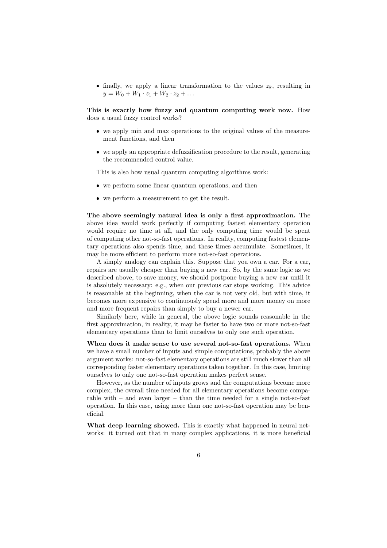• finally, we apply a linear transformation to the values  $z_k$ , resulting in  $y = W_0 + W_1 \cdot z_1 + W_2 \cdot z_2 + \ldots$ 

This is exactly how fuzzy and quantum computing work now. How does a usual fuzzy control works?

- we apply min and max operations to the original values of the measurement functions, and then
- we apply an appropriate defuzzification procedure to the result, generating the recommended control value.

This is also how usual quantum computing algorithms work:

- we perform some linear quantum operations, and then
- we perform a measurement to get the result.

The above seemingly natural idea is only a first approximation. The above idea would work perfectly if computing fastest elementary operation would require no time at all, and the only computing time would be spent of computing other not-so-fast operations. In reality, computing fastest elementary operations also spends time, and these times accumulate. Sometimes, it may be more efficient to perform more not-so-fast operations.

A simply analogy can explain this. Suppose that you own a car. For a car, repairs are usually cheaper than buying a new car. So, by the same logic as we described above, to save money, we should postpone buying a new car until it is absolutely necessary: e.g., when our previous car stops working. This advice is reasonable at the beginning, when the car is not very old, but with time, it becomes more expensive to continuously spend more and more money on more and more frequent repairs than simply to buy a newer car.

Similarly here, while in general, the above logic sounds reasonable in the first approximation, in reality, it may be faster to have two or more not-so-fast elementary operations than to limit ourselves to only one such operation.

When does it make sense to use several not-so-fast operations. When we have a small number of inputs and simple computations, probably the above argument works: not-so-fast elementary operations are still much slower than all corresponding faster elementary operations taken together. In this case, limiting ourselves to only one not-so-fast operation makes perfect sense.

However, as the number of inputs grows and the computations become more complex, the overall time needed for all elementary operations become comparable with  $-$  and even larger  $-$  than the time needed for a single not-so-fast operation. In this case, using more than one not-so-fast operation may be beneficial.

What deep learning showed. This is exactly what happened in neural networks: it turned out that in many complex applications, it is more beneficial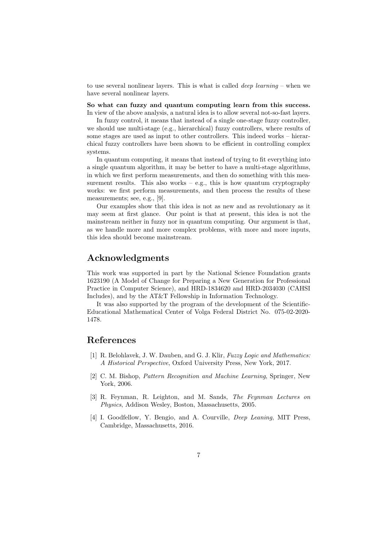to use several nonlinear layers. This is what is called deep learning – when we have several nonlinear layers.

So what can fuzzy and quantum computing learn from this success. In view of the above analysis, a natural idea is to allow several not-so-fast layers.

In fuzzy control, it means that instead of a single one-stage fuzzy controller, we should use multi-stage (e.g., hierarchical) fuzzy controllers, where results of some stages are used as input to other controllers. This indeed works – hierarchical fuzzy controllers have been shown to be efficient in controlling complex systems.

In quantum computing, it means that instead of trying to fit everything into a single quantum algorithm, it may be better to have a multi-stage algorithms, in which we first perform measurements, and then do something with this measurement results. This also works  $-$  e.g., this is how quantum cryptography works: we first perform measurements, and then process the results of these measurements; see, e.g., [9].

Our examples show that this idea is not as new and as revolutionary as it may seem at first glance. Our point is that at present, this idea is not the mainstream neither in fuzzy nor in quantum computing. Our argument is that, as we handle more and more complex problems, with more and more inputs, this idea should become mainstream.

#### Acknowledgments

This work was supported in part by the National Science Foundation grants 1623190 (A Model of Change for Preparing a New Generation for Professional Practice in Computer Science), and HRD-1834620 and HRD-2034030 (CAHSI Includes), and by the AT&T Fellowship in Information Technology.

It was also supported by the program of the development of the Scientific-Educational Mathematical Center of Volga Federal District No. 075-02-2020- 1478.

#### References

- [1] R. Belohlavek, J. W. Dauben, and G. J. Klir, Fuzzy Logic and Mathematics: A Historical Perspective, Oxford University Press, New York, 2017.
- [2] C. M. Bishop, Pattern Recognition and Machine Learning, Springer, New York, 2006.
- [3] R. Feynman, R. Leighton, and M. Sands, The Feynman Lectures on Physics, Addison Wesley, Boston, Massachusetts, 2005.
- [4] I. Goodfellow, Y. Bengio, and A. Courville, *Deep Leaning*, MIT Press, Cambridge, Massachusetts, 2016.